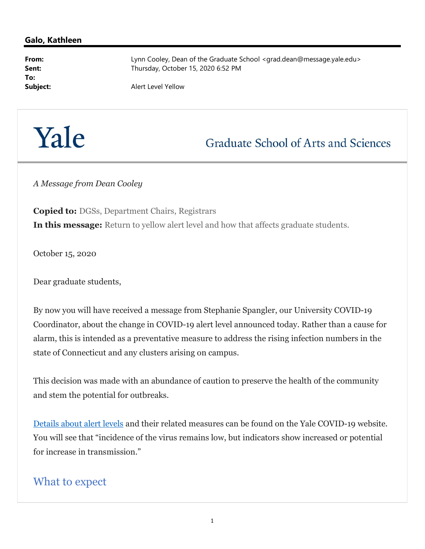## Galo, Kathleen

To:

From: Example 2011 Lynn Cooley, Dean of the Graduate School <grad.dean@message.yale.edu> Sent: Thursday, October 15, 2020 6:52 PM

Subject: Alert Level Yellow

## Yale

## **Graduate School of Arts and Sciences**

A Message from Dean Cooley

Copied to: DGSs, Department Chairs, Registrars In this message: Return to yellow alert level and how that affects graduate students.

October 15, 2020

Dear graduate students,

By now you will have received a message from Stephanie Spangler, our University COVID-19 Coordinator, about the change in COVID-19 alert level announced today. Rather than a cause for alarm, this is intended as a preventative measure to address the rising infection numbers in the state of Connecticut and any clusters arising on campus.

This decision was made with an abundance of caution to preserve the health of the community and stem the potential for outbreaks.

Details about alert levels and their related measures can be found on the Yale COVID-19 website. You will see that "incidence of the virus remains low, but indicators show increased or potential for increase in transmission."

## What to expect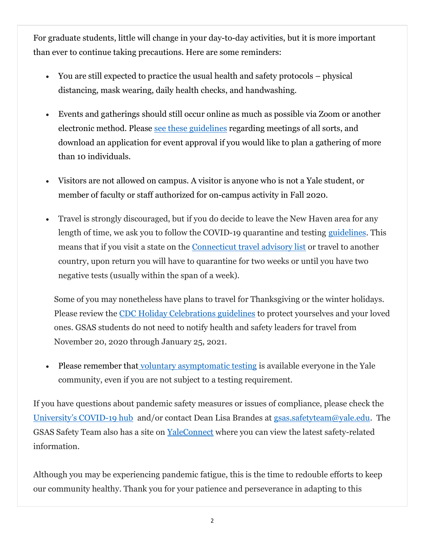For graduate students, little will change in your day-to-day activities, but it is more important than ever to continue taking precautions. Here are some reminders:

- You are still expected to practice the usual health and safety protocols physical distancing, mask wearing, daily health checks, and handwashing.
- Events and gatherings should still occur online as much as possible via Zoom or another electronic method. Please see these guidelines regarding meetings of all sorts, and download an application for event approval if you would like to plan a gathering of more than 10 individuals.
- Visitors are not allowed on campus. A visitor is anyone who is not a Yale student, or member of faculty or staff authorized for on-campus activity in Fall 2020.
- Travel is strongly discouraged, but if you do decide to leave the New Haven area for any length of time, we ask you to follow the COVID-19 quarantine and testing guidelines. This means that if you visit a state on the Connecticut travel advisory list or travel to another country, upon return you will have to quarantine for two weeks or until you have two negative tests (usually within the span of a week).

Some of you may nonetheless have plans to travel for Thanksgiving or the winter holidays. Please review the CDC Holiday Celebrations guidelines to protect yourselves and your loved ones. GSAS students do not need to notify health and safety leaders for travel from November 20, 2020 through January 25, 2021.

 Please remember that voluntary asymptomatic testing is available everyone in the Yale community, even if you are not subject to a testing requirement.

If you have questions about pandemic safety measures or issues of compliance, please check the University's COVID-19 hub and/or contact Dean Lisa Brandes at gsas.safetyteam@yale.edu. The GSAS Safety Team also has a site on YaleConnect where you can view the latest safety-related information.

Although you may be experiencing pandemic fatigue, this is the time to redouble efforts to keep our community healthy. Thank you for your patience and perseverance in adapting to this